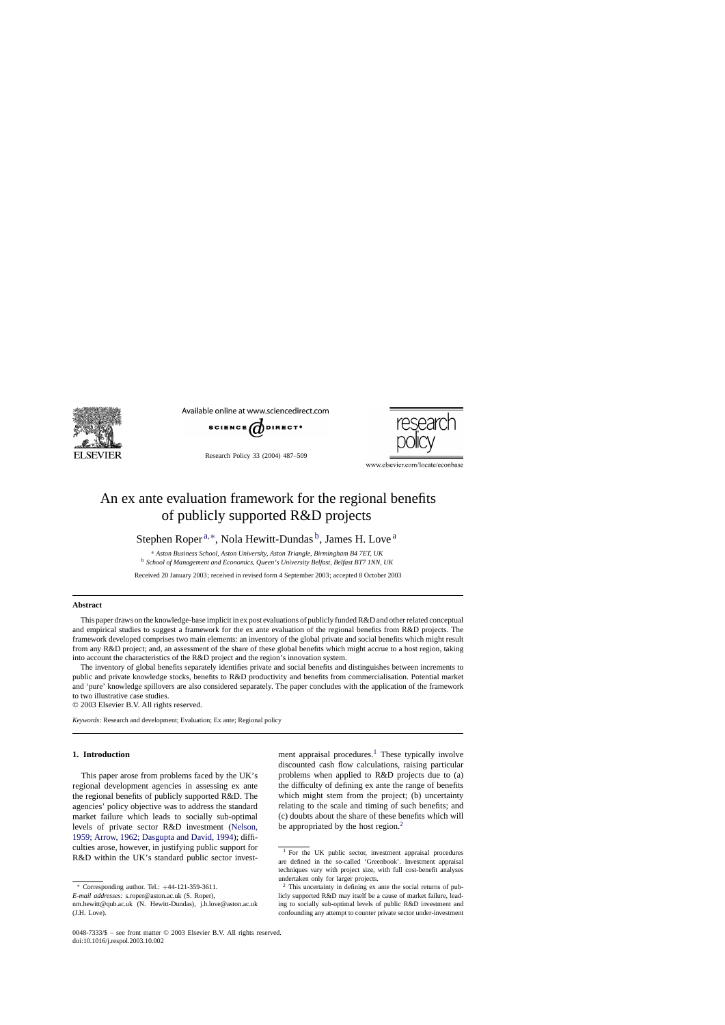

Available online at www.sciencedirect.com



Research Policy 33 (2004) 487–509



www.elsevier.com/locate/econbase

## An ex ante evaluation framework for the regional benefits of publicly supported R&D projects

Stephen Roper<sup>a,∗</sup>, Nola Hewitt-Dundas<sup>b</sup>, James H. Love<sup>a</sup>

<sup>a</sup> *Aston Business School, Aston University, Aston Triangle, Birmingham B4 7ET, UK* <sup>b</sup> *School of Management and Economics, Queen's University Belfast, Belfast BT7 1NN, UK*

Received 20 January 2003; received in revised form 4 September 2003; accepted 8 October 2003

## **Abstract**

This paper draws on the knowledge-base implicit in ex post evaluations of publicly funded R&D and other related conceptual and empirical studies to suggest a framework for the ex ante evaluation of the regional benefits from R&D projects. The framework developed comprises two main elements: an inventory of the global private and social benefits which might result from any R&D project; and, an assessment of the share of these global benefits which might accrue to a host region, taking into account the characteristics of the R&D project and the region's innovation system.

The inventory of global benefits separately identifies private and social benefits and distinguishes between increments to public and private knowledge stocks, benefits to R&D productivity and benefits from commercialisation. Potential market and 'pure' knowledge spillovers are also considered separately. The paper concludes with the application of the framework to two illustrative case studies.

© 2003 Elsevier B.V. All rights reserved.

*Keywords:* Research and development; Evaluation; Ex ante; Regional policy

## **1. Introduction**

This paper arose from problems faced by the UK's regional development agencies in assessing ex ante the regional benefits of publicly supported R&D. The agencies' policy objective was to address the standard market failure which leads to socially sub-optimal levels of private sector R&D investment ([Nelson,](#page--1-0) [1959; Arrow, 1962; Dasgupta and David, 1994\);](#page--1-0) difficulties arose, however, in justifying public support for R&D within the UK's standard public sector investment appraisal procedures.<sup>1</sup> These typically involve discounted cash flow calculations, raising particular problems when applied to R&D projects due to (a) the difficulty of defining ex ante the range of benefits which might stem from the project; (b) uncertainty relating to the scale and timing of such benefits; and (c) doubts about the share of these benefits which will be appropriated by the host region. $<sup>2</sup>$ </sup>

<sup>∗</sup> Corresponding author. Tel.: +44-121-359-3611.

*E-mail addresses:* s.roper@aston.ac.uk (S. Roper),

nm.hewitt@qub.ac.uk (N. Hewitt-Dundas), j.h.love@aston.ac.uk (J.H. Love).

<sup>&</sup>lt;sup>1</sup> For the UK public sector, investment appraisal procedures are defined in the so-called 'Greenbook'. Investment appraisal techniques vary with project size, with full cost-benefit analyses undertaken only for larger projects.

<sup>2</sup> This uncertainty in defining ex ante the social returns of publicly supported R&D may itself be a cause of market failure, leading to socially sub-optimal levels of public R&D investment and confounding any attempt to counter private sector under-investment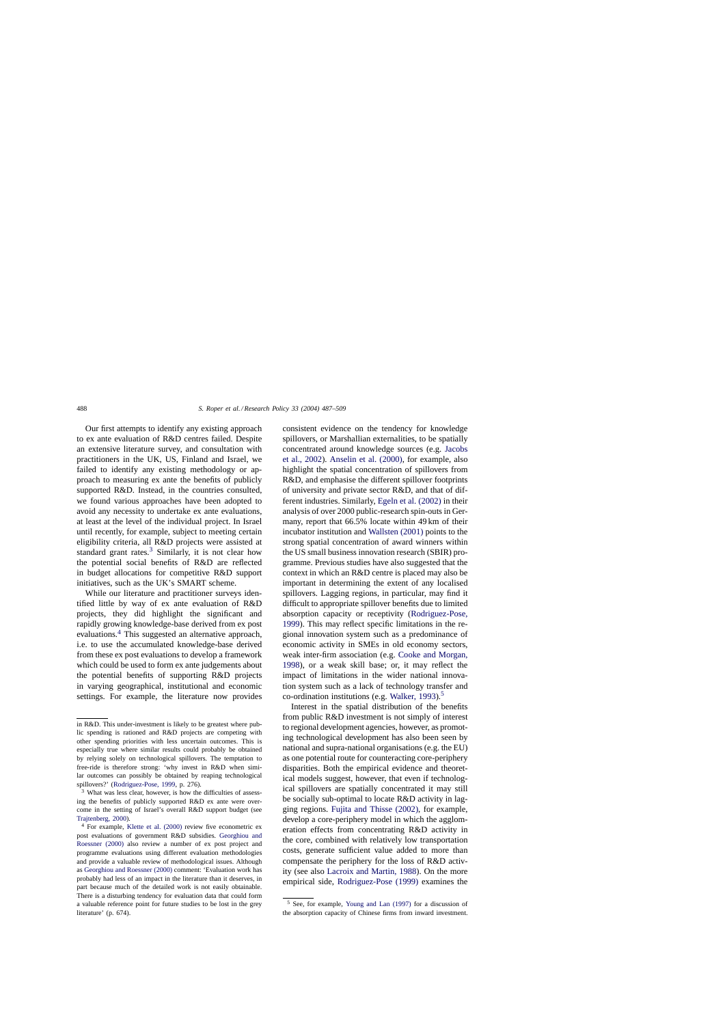Our first attempts to identify any existing approach to ex ante evaluation of R&D centres failed. Despite an extensive literature survey, and consultation with practitioners in the UK, US, Finland and Israel, we failed to identify any existing methodology or approach to measuring ex ante the benefits of publicly supported R&D. Instead, in the countries consulted, we found various approaches have been adopted to avoid any necessity to undertake ex ante evaluations, at least at the level of the individual project. In Israel until recently, for example, subject to meeting certain eligibility criteria, all R&D projects were assisted at standard grant rates.<sup>3</sup> Similarly, it is not clear how the potential social benefits of R&D are reflected in budget allocations for competitive R&D support initiatives, such as the UK's SMART scheme.

While our literature and practitioner surveys identified little by way of ex ante evaluation of R&D projects, they did highlight the significant and rapidly growing knowledge-base derived from ex post evaluations.4 This suggested an alternative approach, i.e. to use the accumulated knowledge-base derived from these ex post evaluations to develop a framework which could be used to form ex ante judgements about the potential benefits of supporting R&D projects in varying geographical, institutional and economic settings. For example, the literature now provides consistent evidence on the tendency for knowledge spillovers, or Marshallian externalities, to be spatially concentrated around knowledge sources (e.g. [Jacobs](#page--1-0) [et al., 2002\).](#page--1-0) [Anselin et al. \(2000\),](#page--1-0) for example, also highlight the spatial concentration of spillovers from R&D, and emphasise the different spillover footprints of university and private sector R&D, and that of different industries. Similarly, [Egeln et al. \(2002\)](#page--1-0) in their analysis of over 2000 public-research spin-outs in Germany, report that 66.5% locate within 49 km of their incubator institution and [Wallsten \(2001\)](#page--1-0) points to the strong spatial concentration of award winners within the US small business innovation research (SBIR) programme. Previous studies have also suggested that the context in which an R&D centre is placed may also be important in determining the extent of any localised spillovers. Lagging regions, in particular, may find it difficult to appropriate spillover benefits due to limited absorption capacity or receptivity [\(Rodriguez-Pose,](#page--1-0) [1999\).](#page--1-0) This may reflect specific limitations in the regional innovation system such as a predominance of economic activity in SMEs in old economy sectors, weak inter-firm association (e.g. [Cooke and Morgan,](#page--1-0) [1998\),](#page--1-0) or a weak skill base; or, it may reflect the impact of limitations in the wider national innovation system such as a lack of technology transfer and co-ordination institutions (e.g. [Walker, 1993\).](#page--1-0)<sup>5</sup>

Interest in the spatial distribution of the benefits from public R&D investment is not simply of interest to regional development agencies, however, as promoting technological development has also been seen by national and supra-national organisations (e.g. the EU) as one potential route for counteracting core-periphery disparities. Both the empirical evidence and theoretical models suggest, however, that even if technological spillovers are spatially concentrated it may still be socially sub-optimal to locate R&D activity in lagging regions. [Fujita and Thisse \(2002\),](#page--1-0) for example, develop a core-periphery model in which the agglomeration effects from concentrating R&D activity in the core, combined with relatively low transportation costs, generate sufficient value added to more than compensate the periphery for the loss of R&D activity (see also [Lacroix and Martin, 1988\).](#page--1-0) On the more empirical side, [Rodriguez-Pose \(1999\)](#page--1-0) examines the

in R&D. This under-investment is likely to be greatest where public spending is rationed and R&D projects are competing with other spending priorities with less uncertain outcomes. This is especially true where similar results could probably be obtained by relying solely on technological spillovers. The temptation to free-ride is therefore strong: 'why invest in R&D when similar outcomes can possibly be obtained by reaping technological spillovers?' ([Rodriguez-Pose, 1999, p](#page--1-0). 276).

<sup>&</sup>lt;sup>3</sup> What was less clear, however, is how the difficulties of assessing the benefits of publicly supported R&D ex ante were overcome in the setting of Israel's overall R&D support budget (see [Trajtenberg, 2000\).](#page--1-0)

<sup>4</sup> For example, [Klette et al. \(2000\)](#page--1-0) review five econometric ex post evaluations of government R&D subsidies. [Georghiou and](#page--1-0) [Roessner \(2000\)](#page--1-0) also review a number of ex post project and programme evaluations using different evaluation methodologies and provide a valuable review of methodological issues. Although as [Georghiou and Roessner \(2000\)](#page--1-0) comment: 'Evaluation work has probably had less of an impact in the literature than it deserves, in part because much of the detailed work is not easily obtainable. There is a disturbing tendency for evaluation data that could form a valuable reference point for future studies to be lost in the grey literature' (p. 674).

<sup>5</sup> See, for example, [Young and Lan \(1997\)](#page--1-0) for a discussion of the absorption capacity of Chinese firms from inward investment.